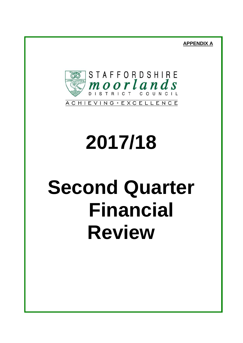**APPENDIX A**



# **2017/18**

## **Second Quarter Financial Review**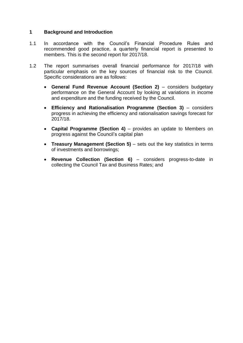#### **1 Background and Introduction**

- 1.1 In accordance with the Council's Financial Procedure Rules and recommended good practice, a quarterly financial report is presented to members. This is the second report for 2017/18.
- 1.2 The report summarises overall financial performance for 2017/18 with particular emphasis on the key sources of financial risk to the Council. Specific considerations are as follows:
	- **General Fund Revenue Account (Section 2)** considers budgetary performance on the General Account by looking at variations in income and expenditure and the funding received by the Council.
	- **Efficiency and Rationalisation Programme (Section 3)**  considers progress in achieving the efficiency and rationalisation savings forecast for 2017/18.
	- **Capital Programme (Section 4)**  provides an update to Members on progress against the Council's capital plan
	- **Treasury Management (Section 5) sets out the key statistics in terms** of investments and borrowings;
	- **Revenue Collection (Section 6)**  considers progress-to-date in collecting the Council Tax and Business Rates; and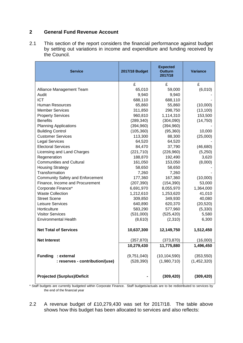#### **2 General Fund Revenue Account**

2.1 This section of the report considers the financial performance against budget by setting out variations in income and expenditure and funding received by the Council.

| <b>Service</b>                          | 2017/18 Budget | <b>Expected</b><br><b>Outturn</b><br>2017/18 | <b>Variance</b> |
|-----------------------------------------|----------------|----------------------------------------------|-----------------|
|                                         | £              | £                                            | £               |
| Alliance Management Team                | 65,010         | 59,000                                       | (6,010)         |
| Audit                                   | 9,940          | 9,940                                        |                 |
| <b>ICT</b>                              | 688,110        | 688,110                                      |                 |
| <b>Human Resources</b>                  | 65,860         | 55,860                                       | (10,000)        |
| <b>Member Services</b>                  | 311,850        | 298,750                                      | (13, 100)       |
| <b>Property Services</b>                | 960,810        | 1,114,310                                    | 153,500         |
| <b>Benefits</b>                         | (289, 340)     | (304,090)                                    | (14, 750)       |
| <b>Planning Applications</b>            | (394, 960)     | (394, 960)                                   |                 |
| <b>Building Control</b>                 | (105, 360)     | (95, 360)                                    | 10,000          |
| <b>Customer Services</b>                | 113,300        | 88,300                                       | (25,000)        |
| <b>Legal Services</b>                   | 64,520         | 64,520                                       |                 |
| <b>Electoral Services</b>               | 84,470         | 37,790                                       | (46, 680)       |
| Licensing and Land Charges              | (221, 710)     | (226,960)                                    | (5,250)         |
| Regeneration                            | 188,870        | 192,490                                      | 3,620           |
| <b>Communities and Cultural</b>         | 161,050        | 153,050                                      | (8,000)         |
| <b>Housing Strategy</b>                 | 58,650         | 58,650                                       |                 |
| Transformation                          | 7,260          | 7,260                                        |                 |
| <b>Community Safety and Enforcement</b> | 177,360        | 167,360                                      | (10,000)        |
| Finance, Income and Procurement         | (207, 390)     | (154, 390)                                   | 53,000          |
| Corporate Finance*                      | 6,691,970      | 8,055,970                                    | 1,364,000       |
| <b>Waste Collection</b>                 | 1,212,610      | 1,253,620                                    | 41,010          |
| <b>Street Scene</b>                     | 309,850        | 349,930                                      | 40,080          |
| Leisure Services                        | 640,890        | 620,370                                      | (20, 520)       |
| Horticulture                            | 583,290        | 577,960                                      | (5,330)         |
| <b>Visitor Services</b>                 | (531,000)      | (525, 420)                                   | 5,580           |
| <b>Environmental Health</b>             | (8,610)        | (2,310)                                      | 6,300           |
| <b>Net Total of Services</b>            | 10,637,300     | 12,149,750                                   | 1,512,450       |
| <b>Net Interest</b>                     | (357,870)      | (373,870)                                    | (16,000)        |
|                                         | 10,279,430     | 11,775,880                                   | 1,496,450       |
| <b>Funding</b><br>: external            | (9,751,040)    | (10, 104, 590)                               | (353, 550)      |
| : reserves - contribution/(use)         | (528, 390)     | (1,980,710)                                  | (1,452,320)     |
| <b>Projected (Surplus)/Deficit</b>      |                | (309, 420)                                   | (309, 420)      |

\* Staff budgets are currently budgeted within Corporate Finance. Staff budgets/actuals are to be redistributed to services by the end of the financial year

2.2 A revenue budget of £10,279,430 was set for 2017/18. The table above shows how this budget has been allocated to services and also reflects: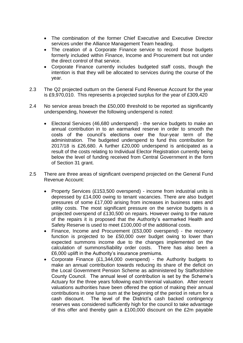- The combination of the former Chief Executive and Executive Director services under the Alliance Management Team heading.
- The creation of a Corporate Finance service to record those budgets formerly included within Finance, Income and Procurement but not under the direct control of that service.
- Corporate Finance currently includes budgeted staff costs, though the intention is that they will be allocated to services during the course of the year.
- 2.3 The Q2 projected outturn on the General Fund Revenue Account for the year is £9,970,010. This represents a projected surplus for the year of £309,420
- 2.4 No service areas breach the £50,000 threshold to be reported as significantly underspending, however the following underspend is noted:
	- Electoral Services (46,680 underspend) the service budgets to make an annual contribution in to an earmarked reserve in order to smooth the costs of the council's elections over the four-year term of the administration. The budgeted underspend to fund this contribution for 2017/18 is £26,680. A further £20,000 underspend is anticipated as a result of the costs relating to Individual Elector Registration currently being below the level of funding received from Central Government in the form of Section 31 grant.
- 2.5 There are three areas of significant overspend projected on the General Fund Revenue Account:
	- Property Services (£153,500 overspend) income from industrial units is depressed by £14,000 owing to tenant vacancies. There are also budget pressures of some £17,000 arising from increases in business rates and utility costs. The most significant pressure on the service budgets is a projected overspend of £130,500 on repairs. However owing to the nature of the repairs it is proposed that the Authority's earmarked Health and Safety Reserve is used to meet £100,000 of the additional costs.
	- Finance, Income and Procurement (£53,000 overspend) the recovery function is projected to be £50,000 over budget owing to lower than expected summons income due to the changes implemented on the calculation of summons/liability order costs. There has also been a £6,000 uplift in the Authority's insurance premiums.
	- Corporate Finance (£1,344,000 overspend) the Authority budgets to make an annual contribution towards reducing its share of the deficit on the Local Government Pension Scheme as administered by Staffordshire County Council. The annual level of contribution is set by the Scheme's Actuary for the three years following each triennial valuation. After recent valuations authorities have been offered the option of making their annual contributions in one lump sum at the beginning of the period in return for a cash discount. The level of the District's cash backed contingency reserves was considered sufficiently high for the council to take advantage of this offer and thereby gain a £100,000 discount on the £2m payable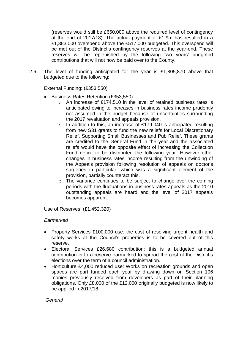(reserves would still be £650,000 above the required level of contingency at the end of 2017/18). The actual payment of £1.9m has resulted in a £1,383,000 overspend above the £517,000 budgeted. This overspend will be met out of the District's contingency reserves at the year-end. These reserves will be replenished by the following two years' budgeted contributions that will not now be paid over to the County.

2.6 The level of funding anticipated for the year is £1,805,870 above that budgeted due to the following:

External Funding: (£353,550)

- Business Rates Retention (£353,550):
	- $\circ$  An increase of £174,510 in the level of retained business rates is anticipated owing to increases in business rates income prudently not assumed in the budget because of uncertainties surrounding the 2017 revaluation and appeals provision.
	- $\circ$  In addition to this, an increase of £179,040 is anticipated resulting from new S31 grants to fund the new reliefs for Local Discretionary Relief, Supporting Small Businesses and Pub Relief. These grants are credited to the General Fund in the year and the associated reliefs would have the opposite effect of increasing the Collection Fund deficit to be distributed the following year. However other changes in business rates income resulting from the unwinding of the Appeals provision following resolution of appeals on doctor's surgeries in particular, which was a significant element of the provision, partially counteract this.
	- o The variance continues to be subject to change over the coming periods with the fluctuations in business rates appeals as the 2010 outstanding appeals are heard and the level of 2017 appeals becomes apparent.

Use of Reserves: (£1,452,320)

#### *Earmarked*

- Property Services £100,000 use: the cost of resolving urgent health and safety works at the Council's properties is to be covered out of this reserve.
- Electoral Services £26,680 contribution: this is a budgeted annual contribution in to a reserve earmarked to spread the cost of the District's elections over the term of a council administration.
- Horticulture £4,000 reduced use: Works on recreation grounds and open spaces are part funded each year by drawing down on Section 106 monies previously received from developers as part of their planning obligations. Only £8,000 of the £12,000 originally budgeted is now likely to be applied in 2017/18.

*General*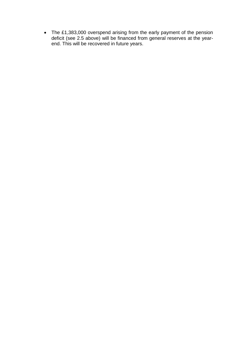• The £1,383,000 overspend arising from the early payment of the pension deficit (see 2.5 above) will be financed from general reserves at the yearend. This will be recovered in future years.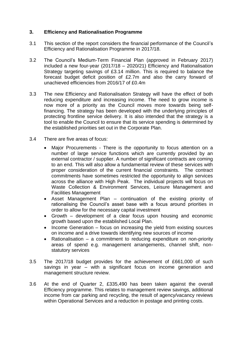#### **3. Efficiency and Rationalisation Programme**

- 3.1 This section of the report considers the financial performance of the Council's Efficiency and Rationalisation Programme in 2017/18.
- 3.2 The Council's Medium-Term Financial Plan (approved in February 2017) included a new four-year (2017/18 – 2020/21) Efficiency and Rationalisation Strategy targeting savings of £3.14 million. This is required to balance the forecast budget deficit position of £2.7m and also the carry forward of unachieved efficiencies from 2016/17 of £0.4m
- 3.3 The new Efficiency and Rationalisation Strategy will have the effect of both reducing expenditure and increasing income. The need to grow income is now more of a priority as the Council moves more towards being selffinancing. The strategy has been developed with the underlying principles of protecting frontline service delivery. It is also intended that the strategy is a tool to enable the Council to ensure that its service spending is determined by the established priorities set out in the Corporate Plan.
- 3.4 There are five areas of focus:
	- Major Procurements There is the opportunity to focus attention on a number of large service functions which are currently provided by an external contractor / supplier. A number of significant contracts are coming to an end. This will also allow a fundamental review of these services with proper consideration of the current financial constraints. The contract commitments have sometimes restricted the opportunity to align services across the alliance with High Peak. The individual projects will focus on Waste Collection & Environment Services, Leisure Management and Facilities Management
	- Asset Management Plan continuation of the existing priority of rationalising the Council's asset base with a focus around priorities in order to allow for the necessary capital investment
	- Growth development of a clear focus upon housing and economic growth based upon the established Local Plan.
	- Income Generation focus on increasing the yield from existing sources on income and a drive towards identifying new sources of income
	- Rationalisation a commitment to reducing expenditure on non-priority areas of spend e.g. management arrangements, channel shift, nonstatutory services
- 3.5 The 2017/18 budget provides for the achievement of £661,000 of such savings in year – with a significant focus on income generation and management structure review.
- 3.6 At the end of Quarter 2, £335,490 has been taken against the overall Efficiency programme. This relates to management review savings, additional income from car parking and recycling, the result of agency/vacancy reviews within Operational Services and a reduction in postage and printing costs.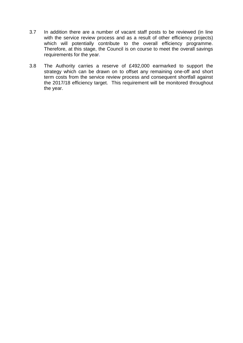- 3.7 In addition there are a number of vacant staff posts to be reviewed (in line with the service review process and as a result of other efficiency projects) which will potentially contribute to the overall efficiency programme. Therefore, at this stage, the Council is on course to meet the overall savings requirements for the year.
- 3.8 The Authority carries a reserve of £492,000 earmarked to support the strategy which can be drawn on to offset any remaining one-off and short term costs from the service review process and consequent shortfall against the 2017/18 efficiency target. This requirement will be monitored throughout the year.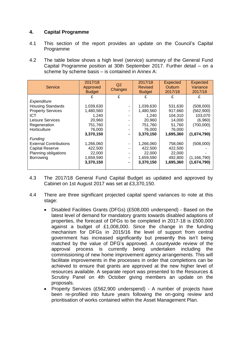#### **4. Capital Programme**

- 4.1 This section of the report provides an update on the Council's Capital Programme
- 4.2 The table below shows a high level (service) summary of the General Fund Capital Programme position at 30th September 2017. Further detail – on a scheme by scheme basis – is contained in Annex A:

| <b>Service</b>                | 2017/18<br>Approved<br><b>Budget</b> | Q2<br><b>Changes</b> | 2017/18<br><b>Revised</b><br><b>Budget</b> | <b>Expected</b><br>Outturn<br>2017/18 | <b>Expected</b><br>Variance<br>2017/18 |
|-------------------------------|--------------------------------------|----------------------|--------------------------------------------|---------------------------------------|----------------------------------------|
|                               |                                      | £                    | £                                          | £                                     | £                                      |
| Expenditure                   |                                      |                      |                                            |                                       |                                        |
| <b>Housing Standards</b>      | 1,039,630                            |                      | 1,039,630                                  | 531,630                               | (508,000)                              |
| <b>Property Services</b>      | 1,480,560                            |                      | 1,480,560                                  | 917,660                               | (562,900)                              |
| ICT.                          | 1,240                                |                      | 1,240                                      | 104,310                               | 103,070                                |
| Leisure Services              | 20,960                               |                      | 20,960                                     | 14,000                                | (6,960)                                |
| Regeneration                  | 751,760                              |                      | 751,760                                    | 51,760                                | (700,000)                              |
| Horticulture                  | 76,000                               |                      | 76,000                                     | 76,000                                |                                        |
|                               | 3,370,150                            |                      | 3,370,150                                  | 1,695,360                             | (1,674,790)                            |
| <b>Funding</b>                |                                      |                      |                                            |                                       |                                        |
| <b>External Contributions</b> | 1,266,060                            |                      | 1,266,060                                  | 758,060                               | (508,000)                              |
| <b>Capital Reserve</b>        | 422,500                              |                      | 422,500                                    | 422,500                               |                                        |
| Planning obligations          | 22,000                               |                      | 22,000                                     | 22,000                                |                                        |
| <b>Borrowing</b>              | 1,659,590                            |                      | 1,659,590                                  | 492,800                               | (1, 166, 790)                          |
|                               | 3,370,150                            |                      | 3,370,150                                  | 1,695,360                             | (1,674,790)                            |

- 4.3 The 2017/18 General Fund Capital Budget as updated and approved by Cabinet on 1st August 2017 was set at £3,370,150.
- 4.4 There are three significant projected capital spend variances to note at this stage:
	- Disabled Facilities Grants (DFGs) (£508,000 underspend) Based on the latest level of demand for mandatory grants towards disabled adaptions of properties, the forecast of DFGs to be completed in 2017-18 is £500,000 against a budget of £1,008,000. Since the change in the funding mechanism for DFGs in 2015/16 the level of support from central government has increased significantly but presently this isn't being matched by the value of DFG's approved. A countywide review of the approval process is currently being undertaken including the commissioning of new home improvement agency arrangements. This will facilitate improvements in the processes in order that completions can be achieved to ensure that grants are approved at the new higher level of resources available. A separate report was presented to the Resources & Scrutiny Panel on 4th October giving members an update on the proposals.
	- Property Services (£562,900 underspend) A number of projects have been re-profiled into future years following the on-going review and prioritisation of works contained within the Asset Management Plan.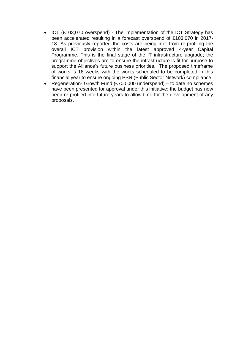- ICT (£103,070 overspend) The implementation of the ICT Strategy has been accelerated resulting in a forecast overspend of £103,070 in 2017- 18. As previously reported the costs are being met from re-profiling the overall ICT provision within the latest approved 4-year Capital Programme. This is the final stage of the IT infrastructure upgrade; the programme objectives are to ensure the infrastructure is fit for purpose to support the Alliance's future business priorities. The proposed timeframe of works is 18 weeks with the works scheduled to be completed in this financial year to ensure ongoing PSN (Public Sector Network) compliance
- Regeneration- Growth Fund (£700,000 underspend) to date no schemes have been presented for approval under this initiative; the budget has now been re profiled into future years to allow time for the development of any proposals.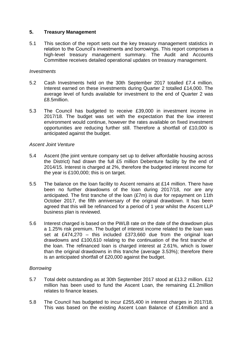#### **5. Treasury Management**

5.1 This section of the report sets out the key treasury management statistics in relation to the Council's investments and borrowings. This report comprises a high-level treasury management summary. The Audit and Accounts Committee receives detailed operational updates on treasury management.

#### *Investments*

- 5.2 Cash Investments held on the 30th September 2017 totalled £7.4 million. Interest earned on these investments during Quarter 2 totalled £14,000. The average level of funds available for investment to the end of Quarter 2 was £8.5million.
- 5.3 The Council has budgeted to receive £39,000 in investment income in 2017/18. The budget was set with the expectation that the low interest environment would continue, however the rates available on fixed investment opportunities are reducing further still. Therefore a shortfall of £10,000 is anticipated against the budget.

#### *Ascent Joint Venture*

- 5.4 Ascent (the joint venture company set up to deliver affordable housing across the District) had drawn the full £5 million Debenture facility by the end of 2014/15. Interest is charged at 2%, therefore the budgeted interest income for the year is £100,000; this is on target.
- 5.5 The balance on the loan facility to Ascent remains at £14 million. There have been no further drawdowns of the loan during 2017/18, nor are any anticipated. The first tranche of the loan (£7m) is due for repayment on 11th October 2017, the fifth anniversary of the original drawdown. It has been agreed that this will be refinanced for a period of 1 year whilst the Ascent LLP business plan is reviewed.
- 5.6 Interest charged is based on the PWLB rate on the date of the drawdown plus a 1.25% risk premium. The budget of interest income related to the loan was set at £474,270 – this included £373,660 due from the original loan drawdowns and £100,610 relating to the continuation of the first tranche of the loan. The refinanced loan is charged interest at 2.61%, which is lower than the original drawdowns in this tranche (average 3.53%); therefore there is an anticipated shortfall of £20,000 against the budget.

#### *Borrowing*

- 5.7 Total debt outstanding as at 30th September 2017 stood at £13.2 million. £12 million has been used to fund the Ascent Loan, the remaining £1.2million relates to finance leases.
- 5.8 The Council has budgeted to incur £255,400 in interest charges in 2017/18. This was based on the existing Ascent Loan Balance of £14million and a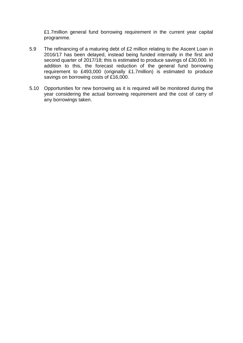£1.7million general fund borrowing requirement in the current year capital programme.

- 5.9 The refinancing of a maturing debt of £2 million relating to the Ascent Loan in 2016/17 has been delayed, instead being funded internally in the first and second quarter of 2017/18; this is estimated to produce savings of £30,000. In addition to this, the forecast reduction of the general fund borrowing requirement to £493,000 (originally £1.7million) is estimated to produce savings on borrowing costs of £16,000.
- 5.10 Opportunities for new borrowing as it is required will be monitored during the year considering the actual borrowing requirement and the cost of carry of any borrowings taken.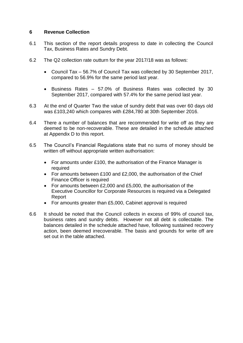#### **6 Revenue Collection**

- 6.1 This section of the report details progress to date in collecting the Council Tax, Business Rates and Sundry Debt.
- 6.2 The Q2 collection rate outturn for the year 2017/18 was as follows:
	- Council Tax 56.7% of Council Tax was collected by 30 September 2017, compared to 56.9% for the same period last year.
	- Business Rates 57.0% of Business Rates was collected by 30 September 2017, compared with 57.4% for the same period last year.
- 6.3 At the end of Quarter Two the value of sundry debt that was over 60 days old was £103,240 which compares with £284,780 at 30th September 2016.
- 6.4 There a number of balances that are recommended for write off as they are deemed to be non-recoverable. These are detailed in the schedule attached at Appendix D to this report.
- 6.5 The Council's Financial Regulations state that no sums of money should be written off without appropriate written authorisation:
	- For amounts under £100, the authorisation of the Finance Manager is required
	- For amounts between £100 and £2,000, the authorisation of the Chief Finance Officer is required
	- For amounts between £2,000 and £5,000, the authorisation of the Executive Councillor for Corporate Resources is required via a Delegated Report
	- For amounts greater than £5,000, Cabinet approval is required
- 6.6 It should be noted that the Council collects in excess of 99% of council tax, business rates and sundry debts. However not all debt is collectable. The balances detailed in the schedule attached have, following sustained recovery action, been deemed irrecoverable. The basis and grounds for write off are set out in the table attached.